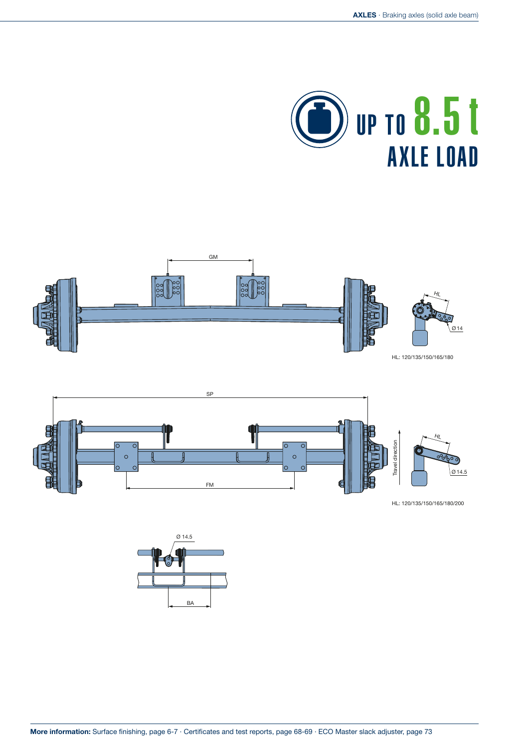





HL: 120/135/150/165/180/200

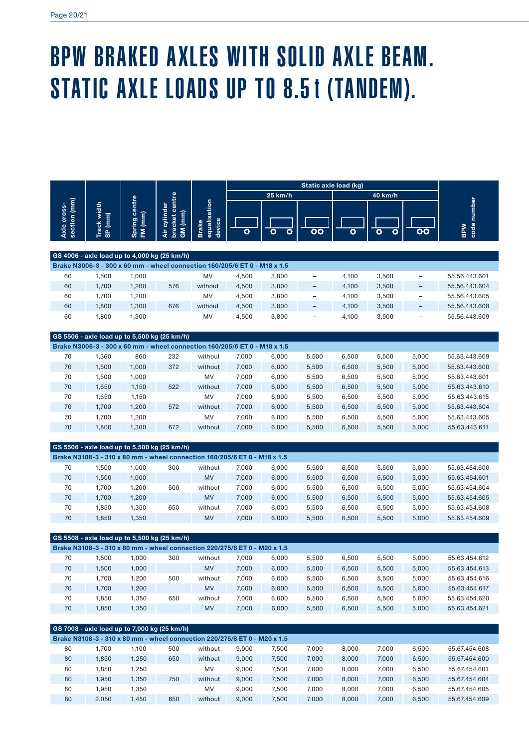## BPW BRAKED AXLES WITH SOLID AXLE BEAM. STATIC AXLE LOADS UP TO 8.5t (TANDEM).

|                             |                                                                           |                          |                                           |           | Static axle load (kg) |                                        |                          |       |                          |                          |               |    |                    |
|-----------------------------|---------------------------------------------------------------------------|--------------------------|-------------------------------------------|-----------|-----------------------|----------------------------------------|--------------------------|-------|--------------------------|--------------------------|---------------|----|--------------------|
|                             |                                                                           |                          |                                           |           |                       | 25 km/h                                |                          |       | 40 km/h                  |                          |               |    |                    |
| section (mm)<br>Axle cross- | Track width<br>SP (mm)                                                    | Spring centre<br>FM (mm) | bracket centre<br>Air cylinder<br>GM (mm) |           |                       | equalisation<br>device<br><b>Brake</b> |                          |       | $\overline{\mathsf{oo}}$ | Ο                        | Ο             | OΟ | code number<br>BPW |
|                             | GS 4006 - axle load up to 4,000 kg (25 km/h)                              |                          |                                           |           |                       |                                        |                          |       |                          |                          |               |    |                    |
|                             | Brake N3006-3 - 300 x 60 mm - wheel connection 160/205/6 ET 0 - M18 x 1.5 |                          |                                           |           |                       |                                        |                          |       |                          |                          |               |    |                    |
|                             |                                                                           |                          |                                           |           |                       |                                        |                          |       |                          |                          |               |    |                    |
| 60                          | 1,500                                                                     | 1,000                    |                                           | MV        | 4,500                 | 3,800                                  | -                        | 4,100 | 3,500                    | $\overline{a}$           | 55.56.443.601 |    |                    |
| 60                          | 1,700                                                                     | 1,200                    | 576                                       | without   | 4,500                 | 3,800                                  | -                        | 4,100 | 3,500                    | $\overline{\phantom{0}}$ | 55.56.443.604 |    |                    |
| 60                          | 1,700                                                                     | 1,200                    |                                           | MV        | 4,500                 | 3,800                                  | $\overline{\phantom{0}}$ | 4,100 | 3,500                    | $\overline{a}$           | 55.56.443.605 |    |                    |
| 60                          | 1,800                                                                     | 1,300                    | 676                                       | without   | 4,500                 | 3,800                                  | $\overline{\phantom{0}}$ | 4,100 | 3,500                    | $\overline{\phantom{0}}$ | 55.56.443.608 |    |                    |
| 60                          | 1,800                                                                     | 1,300                    |                                           | MV        | 4,500                 | 3,800                                  | -                        | 4,100 | 3,500                    | L,                       | 55.56.443.609 |    |                    |
|                             | GS 5506 - axle load up to 5,500 kg (25 km/h)                              |                          |                                           |           |                       |                                        |                          |       |                          |                          |               |    |                    |
|                             | Brake N3006-3 - 300 x 60 mm - wheel connection 160/205/6 ET 0 - M18 x 1.5 |                          |                                           |           |                       |                                        |                          |       |                          |                          |               |    |                    |
| 70                          | 1,360                                                                     | 860                      | 232                                       | without   | 7,000                 | 6,000                                  | 5,500                    | 6,500 | 5,500                    | 5,000                    | 55.63.443.609 |    |                    |
| 70                          | 1,500                                                                     | 1,000                    | 372                                       | without   | 7,000                 | 6,000                                  | 5,500                    | 6,500 | 5,500                    | 5,000                    | 55.63.443.600 |    |                    |
| 70                          | 1,500                                                                     | 1,000                    |                                           | MV        | 7,000                 | 6,000                                  | 5,500                    | 6,500 | 5,500                    | 5,000                    | 55.63.443.601 |    |                    |
| 70                          | 1,650                                                                     | 1,150                    | 522                                       | without   | 7,000                 | 6,000                                  | 5,500                    | 6,500 | 5,500                    | 5,000                    | 55.63.443.610 |    |                    |
| 70                          | 1,650                                                                     | 1,150                    |                                           | MV        | 7,000                 | 6,000                                  | 5,500                    | 6,500 | 5,500                    | 5,000                    | 55.63.443.615 |    |                    |
| 70                          | 1,700                                                                     | 1,200                    | 572                                       | without   | 7,000                 | 6,000                                  | 5,500                    | 6,500 | 5,500                    | 5,000                    | 55.63.443.604 |    |                    |
| 70                          | 1,700                                                                     | 1,200                    |                                           | MV        | 7,000                 | 6,000                                  | 5,500                    | 6,500 | 5,500                    | 5,000                    | 55.63.443.605 |    |                    |
| 70                          | 1,800                                                                     | 1,300                    | 672                                       | without   | 7,000                 | 6,000                                  | 5,500                    | 6,500 | 5,500                    | 5,000                    | 55.63.443.611 |    |                    |
|                             | GS 5506 - axle load up to 5,500 kg (25 km/h)                              |                          |                                           |           |                       |                                        |                          |       |                          |                          |               |    |                    |
|                             | Brake N3108-3 - 310 x 80 mm - wheel connection 160/205/6 ET 0 - M18 x 1.5 |                          |                                           |           |                       |                                        |                          |       |                          |                          |               |    |                    |
| 70                          | 1,500                                                                     | 1,000                    | 300                                       | without   | 7,000                 | 6,000                                  | 5,500                    | 6,500 | 5,500                    | 5,000                    | 55.63.454.600 |    |                    |
| 70                          | 1,500                                                                     | 1,000                    |                                           | <b>MV</b> | 7,000                 | 6,000                                  | 5,500                    | 6,500 | 5,500                    | 5,000                    | 55.63.454.601 |    |                    |
| 70                          | 1,700                                                                     | 1,200                    | 500                                       | without   | 7,000                 | 6,000                                  | 5,500                    | 6,500 | 5,500                    | 5,000                    | 55.63.454.604 |    |                    |
| 70                          | 1,700                                                                     | 1,200                    |                                           | MV        | 7,000                 | 6,000                                  | 5,500                    | 6,500 | 5,500                    | 5,000                    | 55.63.454.605 |    |                    |
| 70                          | 1,850                                                                     | 1,350                    | 650                                       | without   | 7,000                 | 6,000                                  | 5,500                    | 6,500 | 5,500                    | 5,000                    | 55.63.454.608 |    |                    |
| 70                          | 1,850                                                                     | 1,350                    |                                           | <b>MV</b> | 7,000                 | 6,000                                  | 5,500                    | 6,500 | 5,500                    | 5,000                    | 55.63.454.609 |    |                    |
|                             | GS 5508 - axle load up to 5,500 kg (25 km/h)                              |                          |                                           |           |                       |                                        |                          |       |                          |                          |               |    |                    |
|                             | Brake N3108-3 - 310 x 80 mm - wheel connection 220/275/8 ET 0 - M20 x 1.5 |                          |                                           |           |                       |                                        |                          |       |                          |                          |               |    |                    |
| 70                          | 1,500                                                                     | 1,000                    | 300                                       | without   | 7,000                 | 6,000                                  | 5,500                    | 6,500 | 5,500                    | 5,000                    | 55.63.454.612 |    |                    |
| 70                          | 1,500                                                                     | 1,000                    |                                           | MV        | 7,000                 | 6,000                                  | 5,500                    | 6,500 | 5,500                    | 5,000                    | 55.63.454.613 |    |                    |
| 70                          | 1,700                                                                     | 1,200                    | 500                                       | without   | 7,000                 | 6,000                                  | 5,500                    | 6,500 | 5,500                    | 5,000                    | 55.63.454.616 |    |                    |
| 70                          | 1,700                                                                     | 1,200                    |                                           | <b>MV</b> | 7,000                 | 6,000                                  | 5,500                    | 6,500 | 5,500                    | 5,000                    | 55.63.454.617 |    |                    |
| 70                          | 1,850                                                                     | 1,350                    | 650                                       | without   | 7,000                 | 6,000                                  | 5,500                    | 6,500 | 5,500                    | 5,000                    | 55.63.454.620 |    |                    |
| 70                          | 1,850                                                                     | 1,350                    |                                           | MV        | 7,000                 | 6,000                                  | 5,500                    | 6,500 | 5,500                    | 5,000                    | 55.63.454.621 |    |                    |

|    | GS 7008 - axle load up to 7,000 kg (25 km/h)                              |             |     |         |       |       |       |       |       |       |               |  |  |
|----|---------------------------------------------------------------------------|-------------|-----|---------|-------|-------|-------|-------|-------|-------|---------------|--|--|
|    | Brake N3108-3 - 310 x 80 mm - wheel connection 220/275/8 ET 0 - M20 x 1.5 |             |     |         |       |       |       |       |       |       |               |  |  |
| 80 | .700                                                                      | 1.100       | 500 | without | 9.000 | 7.500 | 7.000 | 8.000 | 7.000 | 6.500 | 55.67.454.608 |  |  |
| 80 | 1.850                                                                     | 1.250       | 650 | without | 9.000 | 7.500 | 7,000 | 8.000 | 7.000 | 6,500 | 55.67.454.600 |  |  |
| 80 | 1.850                                                                     | 1.250       |     | MV      | 9.000 | 7.500 | 7.000 | 8.000 | 7.000 | 6.500 | 55.67.454.601 |  |  |
| 80 | 1.950                                                                     | 1.350       | 750 | without | 9.000 | 7.500 | 7.000 | 8.000 | 7.000 | 6.500 | 55.67.454.604 |  |  |
| 80 | 1.950                                                                     | <b>.350</b> |     | MV      | 9.000 | 7.500 | 7.000 | 8.000 | 7.000 | 6.500 | 55.67.454.605 |  |  |
| 80 | 2.050                                                                     | .450        | 850 | without | 9.000 | 7.500 | 7.000 | 8.000 | 7.000 | 6.500 | 55.67.454.609 |  |  |